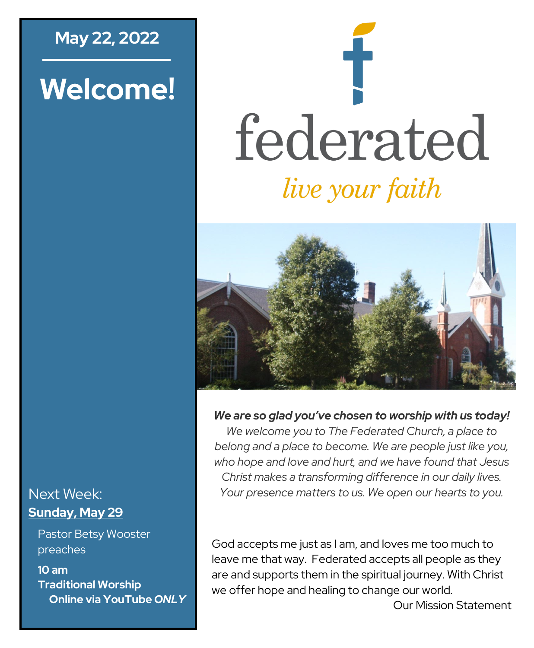## **May 22, 2022**

# **Welcome!**

# federated *live your faith*



*We are so glad you've chosen to worship with us today!*

*We welcome you to The Federated Church, a place to belong and a place to become. We are people just like you, who hope and love and hurt, and we have found that Jesus Christ makes a transforming difference in our daily lives. Your presence matters to us. We open our hearts to you.*

#### God accepts me just as I am, and loves me too much to leave me that way. Federated accepts all people as they are and supports them in the spiritual journey. With Christ we offer hope and healing to change our world.

Our Mission Statement

#### Next Week: **Sunday, May 29**

Pastor Betsy Wooster preaches

**10 am Traditional Worship Online via YouTube** *ONLY*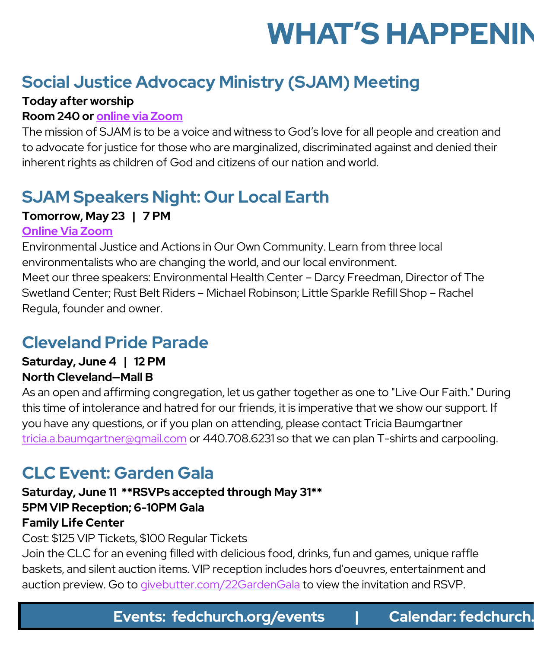# **WHAT'S HAPPENIN**

# **Social Justice Advocacy Ministry (SJAM) Meeting**

#### **Today after worship**

#### **Room 240 or [online via Zoom](https://fedchurch.us11.list-manage.com/track/click?u=de71f8801bec1a38fd818948b&id=b60f3fb126&e=0267c020e9)**

The mission of SJAM is to be a voice and witness to God's love for all people and creation and to advocate for justice for those who are marginalized, discriminated against and denied their inherent rights as children of God and citizens of our nation and world.

# **SJAM Speakers Night: Our Local Earth**

#### **Tomorrow, May 23 | 7 PM**

#### **[Online Via Zoom](https://fedchurch.us11.list-manage.com/track/click?u=de71f8801bec1a38fd818948b&id=682207cfb3&e=0267c020e9)**

Environmental Justice and Actions in Our Own Community. Learn from three local environmentalists who are changing the world, and our local environment. Meet our three speakers: Environmental Health Center – Darcy Freedman, Director of The Swetland Center; Rust Belt Riders – Michael Robinson; Little Sparkle Refill Shop – Rachel Regula, founder and owner.

# **Cleveland Pride Parade**

#### **Saturday, June 4 | 12 PM North Cleveland—Mall B**

As an open and affirming congregation, let us gather together as one to "Live Our Faith." During this time of intolerance and hatred for our friends, it is imperative that we show our support. If you have any questions, or if you plan on attending, please contact Tricia Baumgartner [tricia.a.baumgartner@gmail.com](mailto:tricia.a.baumgartner@gmail.com) or 440.708.6231 so that we can plan T-shirts and carpooling.

# **CLC Event: Garden Gala**

#### **Saturday, June 11 \*\*RSVPs accepted through May 31\*\* 5PM VIP Reception; 6-10PM Gala Family Life Center**

Cost: \$125 VIP Tickets, \$100 Regular Tickets

Join the CLC for an evening filled with delicious food, drinks, fun and games, unique raffle baskets, and silent auction items. VIP reception includes hors d'oeuvres, entertainment and auction preview. Go to <givebutter.com/22GardenGala> to view the invitation and RSVP.

**Events: fedchurch.org/events | Calendar: fedchurch.**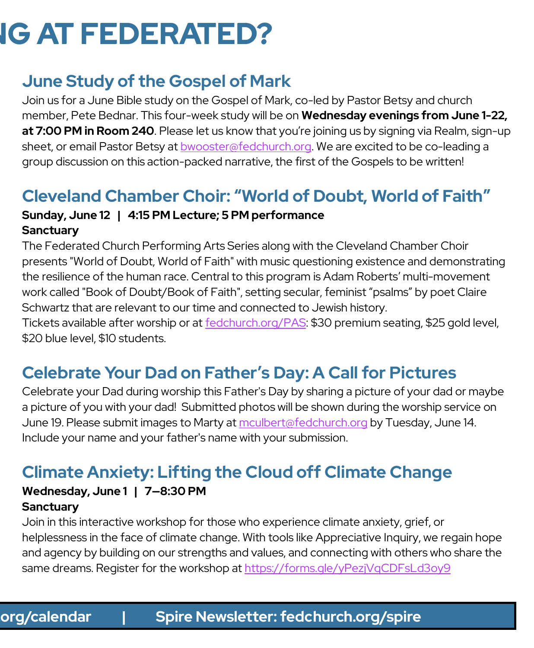# **IG AT FEDERATED?**

# **June Study of the Gospel of Mark**

Join us for a June Bible study on the Gospel of Mark, co-led by Pastor Betsy and church member, Pete Bednar. This four-week study will be on **Wednesday evenings from June 1-22,**  at 7:00 PM in Room 240. Please let us know that you're joining us by signing via Realm, sign-up sheet, or email Pastor Betsy at [bwooster@fedchurch.org.](mailto:bwooster@fedchurch.org) We are excited to be co-leading a group discussion on this action-packed narrative, the first of the Gospels to be written!

# **Cleveland Chamber Choir: "World of Doubt, World of Faith"**

#### **Sunday, June 12 | 4:15 PM Lecture; 5 PM performance Sanctuary**

The Federated Church Performing Arts Series along with the Cleveland Chamber Choir presents "World of Doubt, World of Faith" with music questioning existence and demonstrating the resilience of the human race. Central to this program is Adam Roberts' multi-movement work called "Book of Doubt/Book of Faith", setting secular, feminist "psalms" by poet Claire Schwartz that are relevant to our time and connected to Jewish history.

Tickets available after worship or at [fedchurch.org/PAS:](http://www.fedchurch.org/PAS) \$30 premium seating, \$25 gold level, \$20 blue level, \$10 students.

# **Celebrate Your Dad on Father's Day: A Call for Pictures**

Celebrate your Dad during worship this Father's Day by sharing a picture of your dad or maybe a picture of you with your dad! Submitted photos will be shown during the worship service on June 19. Please submit images to Marty at [mculbert@fedchurch.org](mailto:mculbert@fedchurch.org) by Tuesday, June 14. Include your name and your father's name with your submission.

# **Climate Anxiety: Lifting the Cloud off Climate Change**

# **Wednesday, June 1 | 7—8:30 PM**

#### **Sanctuary**

Join in this interactive workshop for those who experience climate anxiety, grief, or helplessness in the face of climate change. With tools like Appreciative Inquiry, we regain hope and agency by building on our strengths and values, and connecting with others who share the same dreams. Register for the workshop at<https://forms.gle/yPezjVqCDFsLd3oy9>